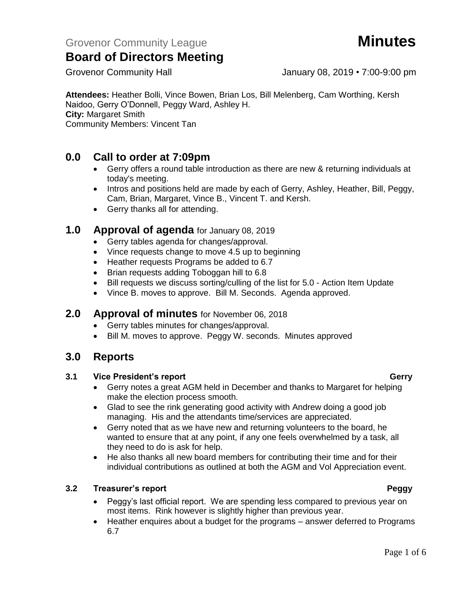Grovenor Community Hall Grovenor Community Hall January 08, 2019 • 7:00-9:00 pm

**Attendees:** Heather Bolli, Vince Bowen, Brian Los, Bill Melenberg, Cam Worthing, Kersh Naidoo, Gerry O'Donnell, Peggy Ward, Ashley H. **City:** Margaret Smith Community Members: Vincent Tan

## **0.0 Call to order at 7:09pm**

- Gerry offers a round table introduction as there are new & returning individuals at today's meeting.
- Intros and positions held are made by each of Gerry, Ashley, Heather, Bill, Peggy, Cam, Brian, Margaret, Vince B., Vincent T. and Kersh.
- Gerry thanks all for attending.

## **1.0 Approval of agenda** for January 08, 2019

- Gerry tables agenda for changes/approval.
- Vince requests change to move 4.5 up to beginning
- Heather requests Programs be added to 6.7
- Brian requests adding Toboggan hill to 6.8
- Bill requests we discuss sorting/culling of the list for 5.0 Action Item Update
- Vince B. moves to approve. Bill M. Seconds. Agenda approved.

## **2.0 Approval of minutes** for November 06, 2018

- Gerry tables minutes for changes/approval.
- Bill M. moves to approve. Peggy W. seconds. Minutes approved

## **3.0 Reports**

### **3.1 Vice President's report Gerry**

- Gerry notes a great AGM held in December and thanks to Margaret for helping make the election process smooth.
- Glad to see the rink generating good activity with Andrew doing a good job managing. His and the attendants time/services are appreciated.
- Gerry noted that as we have new and returning volunteers to the board, he wanted to ensure that at any point, if any one feels overwhelmed by a task, all they need to do is ask for help.
- He also thanks all new board members for contributing their time and for their individual contributions as outlined at both the AGM and Vol Appreciation event.

### **3.2 Treasurer's report Peggy**

- Peggy's last official report. We are spending less compared to previous year on most items. Rink however is slightly higher than previous year.
- Heather enquires about a budget for the programs answer deferred to Programs 6.7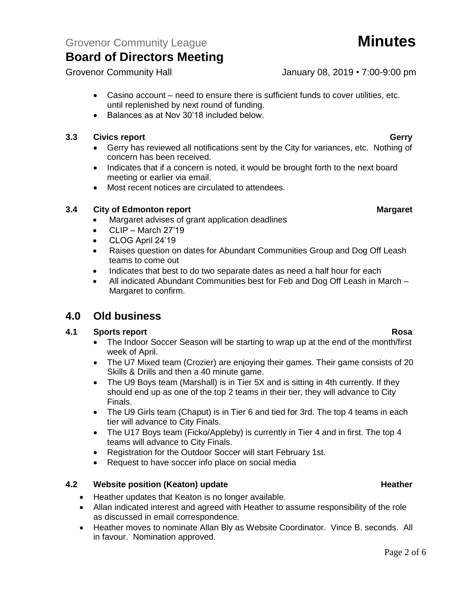Grovenor Community Hall Grovenor Community Hall January 08, 2019 • 7:00-9:00 pm

- Casino account need to ensure there is sufficient funds to cover utilities, etc. until replenished by next round of funding.
- Balances as at Nov 30'18 included below.

### **3.3 Civics report Gerry**

- Gerry has reviewed all notifications sent by the City for variances, etc. Nothing of concern has been received.
- Indicates that if a concern is noted, it would be brought forth to the next board meeting or earlier via email.
- Most recent notices are circulated to attendees.

### **3.4 City of Edmonton report Margaret**

- Margaret advises of grant application deadlines
- $\bullet$  CLIP March 27'19
- CLOG April 24'19
- Raises question on dates for Abundant Communities Group and Dog Off Leash teams to come out
- Indicates that best to do two separate dates as need a half hour for each
- All indicated Abundant Communities best for Feb and Dog Off Leash in March Margaret to confirm.

## **4.0 Old business**

### **4.1 Sports report Rosa**

- The Indoor Soccer Season will be starting to wrap up at the end of the month/first week of April.
- The U7 Mixed team (Crozier) are enjoying their games. Their game consists of 20 Skills & Drills and then a 40 minute game.
- The U9 Boys team (Marshall) is in Tier 5X and is sitting in 4th currently. If they should end up as one of the top 2 teams in their tier, they will advance to City Finals.
- The U9 Girls team (Chaput) is in Tier 6 and tied for 3rd. The top 4 teams in each tier will advance to City Finals.
- The U17 Boys team (Ficko/Appleby) is currently in Tier 4 and in first. The top 4 teams will advance to City Finals.
- Registration for the Outdoor Soccer will start February 1st.
- Request to have soccer info place on social media

### **4.2 Website position (Keaton) update Heather Heather Heather**

- Heather updates that Keaton is no longer available.
- Allan indicated interest and agreed with Heather to assume responsibility of the role as discussed in email correspondence.
- Heather moves to nominate Allan Bly as Website Coordinator. Vince B. seconds. All in favour. Nomination approved.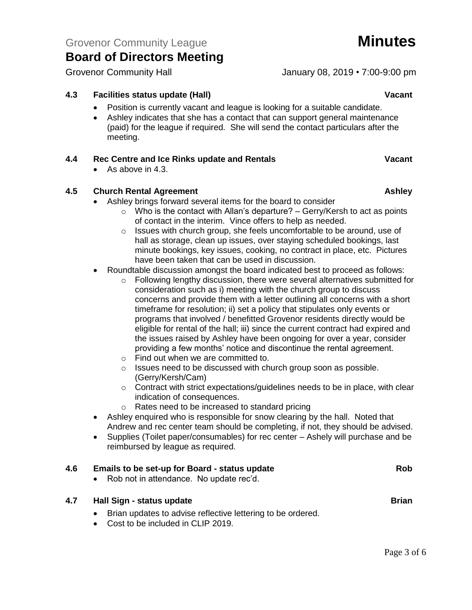Grovenor Community Hall Grovenor Community Hall January 08, 2019 • 7:00-9:00 pm

## **4.3 Facilities status update (Hall) Vacant**

- Position is currently vacant and league is looking for a suitable candidate.
- Ashley indicates that she has a contact that can support general maintenance (paid) for the league if required. She will send the contact particulars after the meeting.

### **4.4 Rec Centre and Ice Rinks update and Rentals Vacant**

• As above in 4.3.

### **4.5 Church Rental Agreement Ashley**

- Ashley brings forward several items for the board to consider
	- $\circ$  Who is the contact with Allan's departure? Gerry/Kersh to act as points of contact in the interim. Vince offers to help as needed.
	- o Issues with church group, she feels uncomfortable to be around, use of hall as storage, clean up issues, over staying scheduled bookings, last minute bookings, key issues, cooking, no contract in place, etc. Pictures have been taken that can be used in discussion.
- Roundtable discussion amongst the board indicated best to proceed as follows:
	- o Following lengthy discussion, there were several alternatives submitted for consideration such as i) meeting with the church group to discuss concerns and provide them with a letter outlining all concerns with a short timeframe for resolution; ii) set a policy that stipulates only events or programs that involved / benefitted Grovenor residents directly would be eligible for rental of the hall; iii) since the current contract had expired and the issues raised by Ashley have been ongoing for over a year, consider providing a few months' notice and discontinue the rental agreement.
	- o Find out when we are committed to.
	- o Issues need to be discussed with church group soon as possible. (Gerry/Kersh/Cam)
	- $\circ$  Contract with strict expectations/quidelines needs to be in place, with clear indication of consequences.
	- o Rates need to be increased to standard pricing
- Ashley enquired who is responsible for snow clearing by the hall. Noted that Andrew and rec center team should be completing, if not, they should be advised.
- Supplies (Toilet paper/consumables) for rec center Ashely will purchase and be reimbursed by league as required.

| 4.6 | Emails to be set-up for Board - status update<br>• Rob not in attendance. No update rec'd.                                                   | <b>Rob</b>   |
|-----|----------------------------------------------------------------------------------------------------------------------------------------------|--------------|
| 4.7 | Hall Sign - status update<br>Brian updates to advise reflective lettering to be ordered.<br>$\bullet$<br>• Cost to be included in CLIP 2019. | <b>Brian</b> |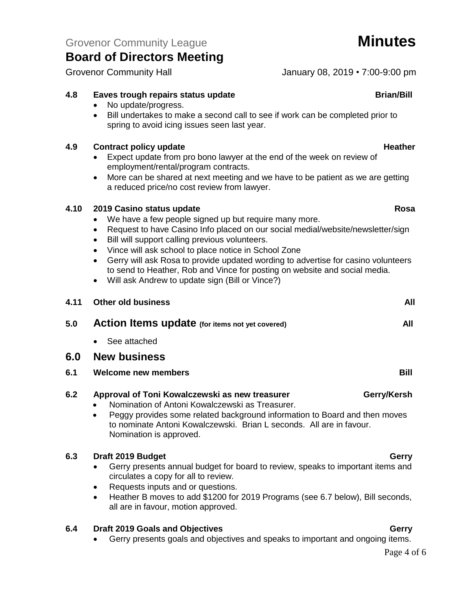## **4.8 Eaves trough repairs status update Brian/Bill**

- No update/progress.
- Bill undertakes to make a second call to see if work can be completed prior to spring to avoid icing issues seen last year.

## **4.9 Contract policy update Heather Heather Heather**

- Expect update from pro bono lawyer at the end of the week on review of employment/rental/program contracts.
- More can be shared at next meeting and we have to be patient as we are getting a reduced price/no cost review from lawyer.

## **4.10 2019 Casino status update Rosa**

- We have a few people signed up but require many more.
- Request to have Casino Info placed on our social medial/website/newsletter/sign
- Bill will support calling previous volunteers.
- Vince will ask school to place notice in School Zone
- Gerry will ask Rosa to provide updated wording to advertise for casino volunteers to send to Heather, Rob and Vince for posting on website and social media.
- Will ask Andrew to update sign (Bill or Vince?)

| 4.11 | <b>Other old business</b>                                                                         | All         |
|------|---------------------------------------------------------------------------------------------------|-------------|
| 5.0  | <b>Action Items update</b> (for items not yet covered)                                            | All         |
|      | See attached<br>$\bullet$                                                                         |             |
| 6.0  | <b>New business</b>                                                                               |             |
| 6.1  | <b>Welcome new members</b>                                                                        | Bill        |
| 6.2  | Approval of Toni Kowalczewski as new treasurer<br>Nomination of Antoni Kowalczewski as Treasurer. | Gerry/Kersh |

• Peggy provides some related background information to Board and then moves to nominate Antoni Kowalczewski. Brian L seconds. All are in favour. Nomination is approved.

## **6.3 Draft 2019 Budget Gerry** Gerry Gerry

- Gerry presents annual budget for board to review, speaks to important items and circulates a copy for all to review.
- Requests inputs and or questions.
- Heather B moves to add \$1200 for 2019 Programs (see 6.7 below), Bill seconds, all are in favour, motion approved.

## **6.4 Draft 2019 Goals and Objectives Gerry**

• Gerry presents goals and objectives and speaks to important and ongoing items.

## Page 4 of 6

Grovenor Community Hall Grovenor Community Hall January 08, 2019 • 7:00-9:00 pm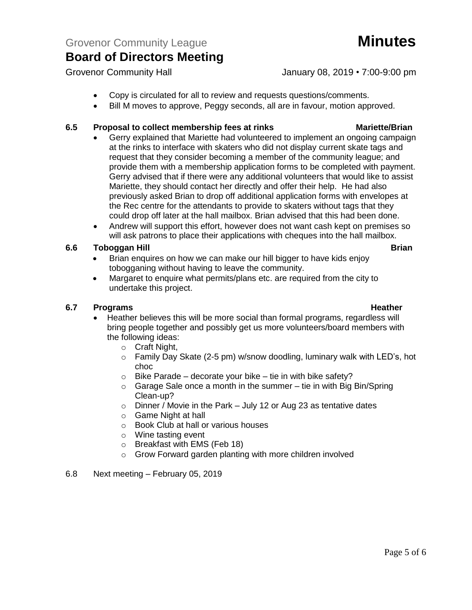### Grovenor Community Hall Grovenor Community Hall January 08, 2019 • 7:00-9:00 pm

- Copy is circulated for all to review and requests questions/comments.
- Bill M moves to approve, Peggy seconds, all are in favour, motion approved.

## **6.5 Proposal to collect membership fees at rinks Mariette/Brian**

- Gerry explained that Mariette had volunteered to implement an ongoing campaign at the rinks to interface with skaters who did not display current skate tags and request that they consider becoming a member of the community league; and provide them with a membership application forms to be completed with payment. Gerry advised that if there were any additional volunteers that would like to assist Mariette, they should contact her directly and offer their help. He had also previously asked Brian to drop off additional application forms with envelopes at the Rec centre for the attendants to provide to skaters without tags that they could drop off later at the hall mailbox. Brian advised that this had been done.
- Andrew will support this effort, however does not want cash kept on premises so will ask patrons to place their applications with cheques into the hall mailbox.

### **6.6 Toboggan Hill Brian**

- Brian enquires on how we can make our hill bigger to have kids enjoy tobogganing without having to leave the community.
- Margaret to enquire what permits/plans etc. are required from the city to undertake this project.

### **6.7 Programs Heather**

- Heather believes this will be more social than formal programs, regardless will bring people together and possibly get us more volunteers/board members with the following ideas:
	- o Craft Night,
	- $\circ$  Family Day Skate (2-5 pm) w/snow doodling, luminary walk with LED's, hot choc
	- $\circ$  Bike Parade decorate your bike tie in with bike safety?
	- $\circ$  Garage Sale once a month in the summer tie in with Big Bin/Spring Clean-up?
	- $\circ$  Dinner / Movie in the Park July 12 or Aug 23 as tentative dates
	- o Game Night at hall
	- o Book Club at hall or various houses
	- o Wine tasting event
	- o Breakfast with EMS (Feb 18)
	- o Grow Forward garden planting with more children involved
- 6.8 Next meeting February 05, 2019